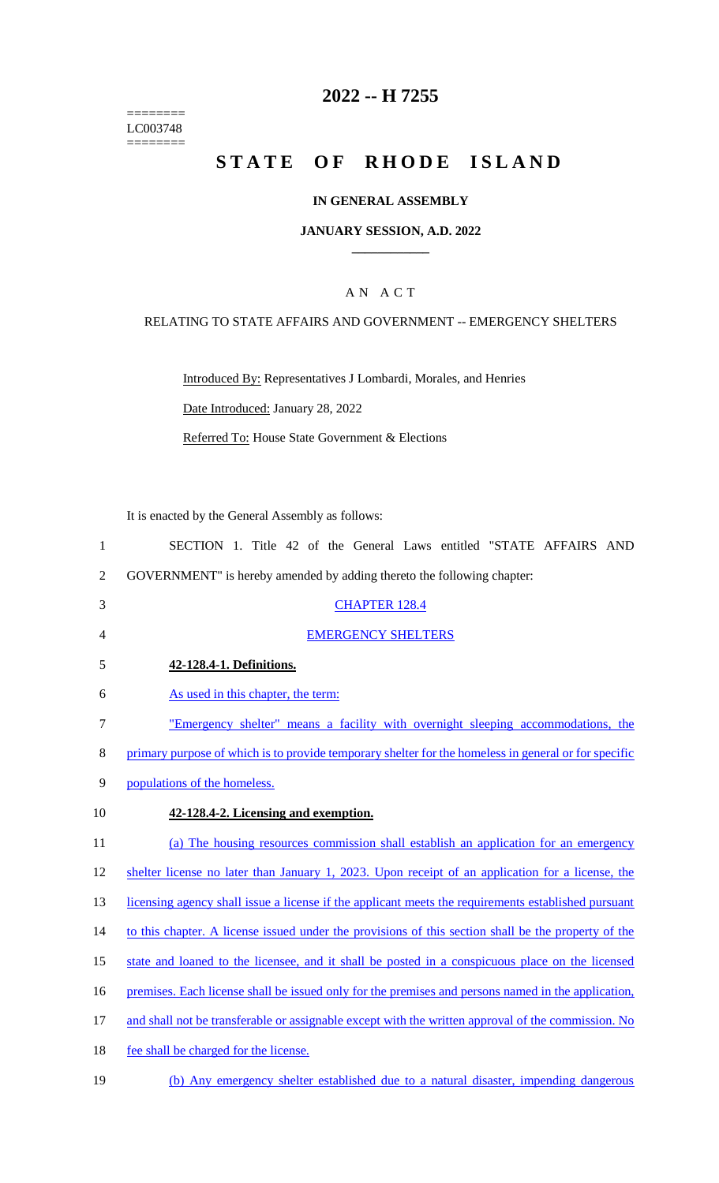======== LC003748  $=$ 

# **2022 -- H 7255**

# **STATE OF RHODE ISLAND**

## **IN GENERAL ASSEMBLY**

### **JANUARY SESSION, A.D. 2022 \_\_\_\_\_\_\_\_\_\_\_\_**

## A N A C T

## RELATING TO STATE AFFAIRS AND GOVERNMENT -- EMERGENCY SHELTERS

Introduced By: Representatives J Lombardi, Morales, and Henries Date Introduced: January 28, 2022

Referred To: House State Government & Elections

It is enacted by the General Assembly as follows:

| $\mathbf{1}$   | SECTION 1. Title 42 of the General Laws entitled "STATE AFFAIRS AND                                  |
|----------------|------------------------------------------------------------------------------------------------------|
| $\overline{2}$ | GOVERNMENT" is hereby amended by adding thereto the following chapter:                               |
| 3              | <b>CHAPTER 128.4</b>                                                                                 |
| 4              | <b>EMERGENCY SHELTERS</b>                                                                            |
| 5              | 42-128.4-1. Definitions.                                                                             |
| 6              | As used in this chapter, the term:                                                                   |
| $\tau$         | "Emergency shelter" means a facility with overnight sleeping accommodations, the                     |
| 8              | primary purpose of which is to provide temporary shelter for the homeless in general or for specific |
| 9              | populations of the homeless.                                                                         |
| 10             | 42-128.4-2. Licensing and exemption.                                                                 |
| 11             | (a) The housing resources commission shall establish an application for an emergency                 |
| 12             | shelter license no later than January 1, 2023. Upon receipt of an application for a license, the     |
| 13             | licensing agency shall issue a license if the applicant meets the requirements established pursuant  |
| 14             | to this chapter. A license issued under the provisions of this section shall be the property of the  |
| 15             | state and loaned to the licensee, and it shall be posted in a conspicuous place on the licensed      |
| 16             | premises. Each license shall be issued only for the premises and persons named in the application,   |
| 17             | and shall not be transferable or assignable except with the written approval of the commission. No   |
| 18             | fee shall be charged for the license.                                                                |
| 19             | (b) Any emergency shelter established due to a natural disaster, impending dangerous                 |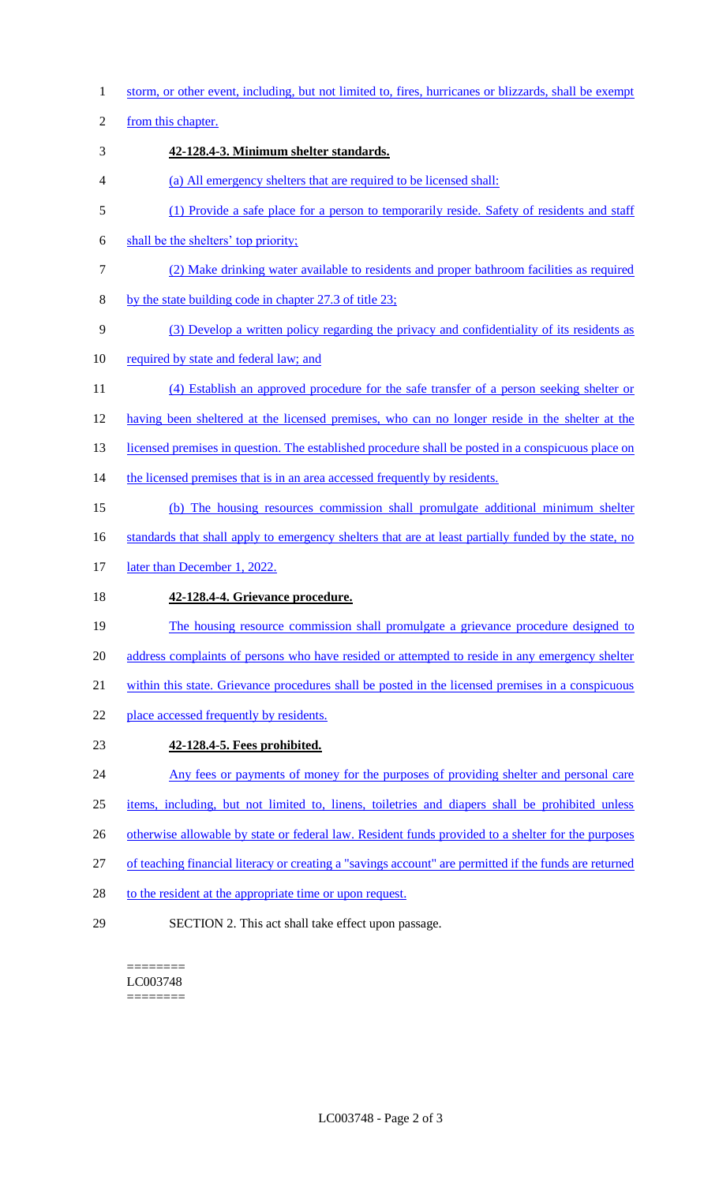1 storm, or other event, including, but not limited to, fires, hurricanes or blizzards, shall be exempt

2 from this chapter.

- 3 **42-128.4-3. Minimum shelter standards.**
- 4 (a) All emergency shelters that are required to be licensed shall:
- 5 (1) Provide a safe place for a person to temporarily reside. Safety of residents and staff
- 6 shall be the shelters' top priority;
- 7 (2) Make drinking water available to residents and proper bathroom facilities as required
- 8 by the state building code in chapter 27.3 of title 23;
- 9 (3) Develop a written policy regarding the privacy and confidentiality of its residents as
- 10 required by state and federal law; and
- 11 (4) Establish an approved procedure for the safe transfer of a person seeking shelter or
- 12 having been sheltered at the licensed premises, who can no longer reside in the shelter at the
- 13 licensed premises in question. The established procedure shall be posted in a conspicuous place on
- 14 the licensed premises that is in an area accessed frequently by residents.
- 15 (b) The housing resources commission shall promulgate additional minimum shelter
- 16 standards that shall apply to emergency shelters that are at least partially funded by the state, no
- 17 later than December 1, 2022.

## 18 **42-128.4-4. Grievance procedure.**

- 19 The housing resource commission shall promulgate a grievance procedure designed to 20 address complaints of persons who have resided or attempted to reside in any emergency shelter
- 21 within this state. Grievance procedures shall be posted in the licensed premises in a conspicuous
- 22 place accessed frequently by residents.
- 23 **42-128.4-5. Fees prohibited.**
- 24 Any fees or payments of money for the purposes of providing shelter and personal care
- 25 items, including, but not limited to, linens, toiletries and diapers shall be prohibited unless
- 26 otherwise allowable by state or federal law. Resident funds provided to a shelter for the purposes
- 27 of teaching financial literacy or creating a "savings account" are permitted if the funds are returned
- 28 to the resident at the appropriate time or upon request.
- 

29 SECTION 2. This act shall take effect upon passage.

======== LC003748 ========